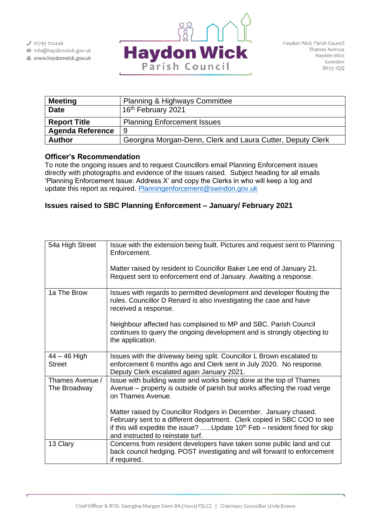$J$  01793 722446

info@haydonwick.gov.uk Www.haydonwick.gov.uk



| <b>Meeting</b>          | <b>Planning &amp; Highways Committee</b>                   |
|-------------------------|------------------------------------------------------------|
| <b>Date</b>             | 16 <sup>th</sup> February 2021                             |
| <b>Report Title</b>     | <b>Planning Enforcement Issues</b>                         |
| <b>Agenda Reference</b> | 9                                                          |
| <b>Author</b>           | Georgina Morgan-Denn, Clerk and Laura Cutter, Deputy Clerk |

## **Officer's Recommendation**

To note the ongoing issues and to request Councillors email Planning Enforcement issues directly with photographs and evidence of the issues raised. Subject heading for all emails 'Planning Enforcement Issue: Address X' and copy the Clerks in who will keep a log and update this report as required. [Planningenforcement@swindon.gov.uk](mailto:Planningenforcement@swindon.gov.uk)

## **Issues raised to SBC Planning Enforcement – January/ February 2021**

| 54a High Street                 | Issue with the extension being built. Pictures and request sent to Planning<br>Enforcement.                                                                                                                                                                       |
|---------------------------------|-------------------------------------------------------------------------------------------------------------------------------------------------------------------------------------------------------------------------------------------------------------------|
|                                 | Matter raised by resident to Councillor Baker Lee end of January 21.<br>Request sent to enforcement end of January. Awaiting a response.                                                                                                                          |
| 1a The Brow                     | Issues with regards to permitted development and developer flouting the<br>rules. Councillor D Renard is also investigating the case and have<br>received a response.                                                                                             |
|                                 | Neighbour affected has complained to MP and SBC. Parish Council<br>continues to query the ongoing development and is strongly objecting to<br>the application.                                                                                                    |
| $44 - 46$ High<br><b>Street</b> | Issues with the driveway being split. Councillor L Brown escalated to<br>enforcement 6 months ago and Clerk sent in July 2020. No response.<br>Deputy Clerk escalated again January 2021.                                                                         |
| Thames Avenue /<br>The Broadway | Issue with building waste and works being done at the top of Thames<br>Avenue – property is outside of parish but works affecting the road verge<br>on Thames Avenue.                                                                                             |
|                                 | Matter raised by Councillor Rodgers in December. January chased.<br>February sent to a different department. Clerk copied in SBC COO to see<br>if this will expedite the issue?  Update $10th$ Feb – resident fined for skip<br>and instructed to reinstate turf. |
| 13 Clary                        | Concerns from resident developers have taken some public land and cut<br>back council hedging. POST investigating and will forward to enforcement<br>if required.                                                                                                 |